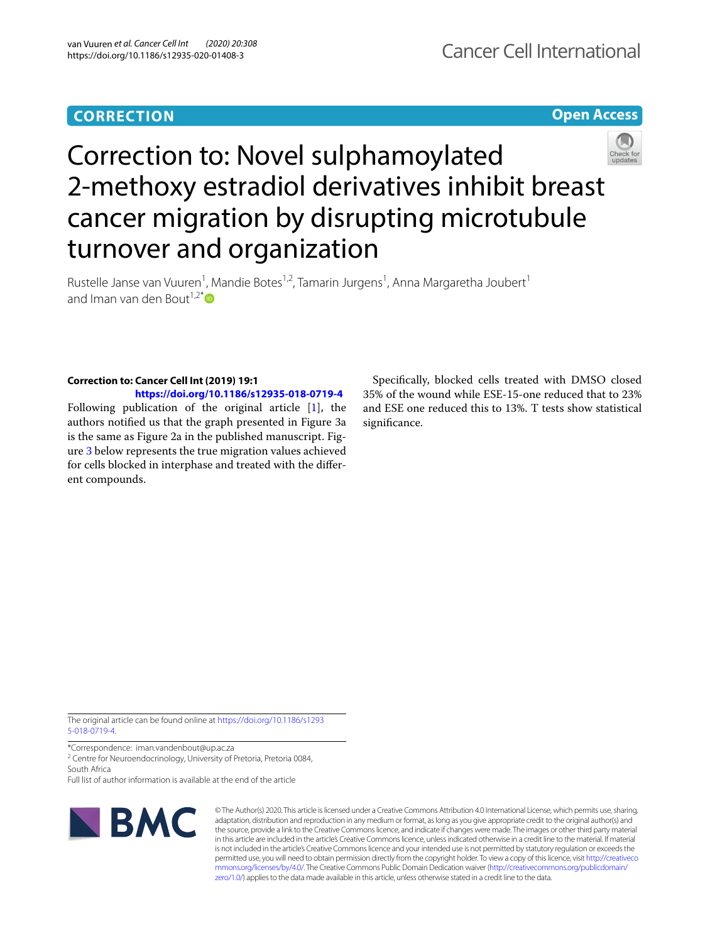# **CORRECTION**

**Open Access**



Rustelle Janse van Vuuren<sup>1</sup>, Mandie Botes<sup>1,2</sup>, Tamarin Jurgens<sup>1</sup>, Anna Margaretha Joubert<sup>1</sup> and Iman van den Bout<sup>1,2[\\*](http://orcid.org/0000-0001-6333-1470)</sup> $\bullet$ 

### **Correction to: Cancer Cell Int (2019) 19:1**

**<https://doi.org/10.1186/s12935-018-0719-4>** Following publication of the original article [\[1\]](#page-1-0), the authors notifed us that the graph presented in Figure 3a is the same as Figure 2a in the published manuscript. Figure [3](#page-1-1) below represents the true migration values achieved for cells blocked in interphase and treated with the diferent compounds.

Specifcally, blocked cells treated with DMSO closed 35% of the wound while ESE-15-one reduced that to 23% and ESE one reduced this to 13%. T tests show statistical signifcance.

The original article can be found online at [https://doi.org/10.1186/s1293](https://doi.org/10.1186/s12935-018-0719-4) [5-018-0719-4](https://doi.org/10.1186/s12935-018-0719-4).

\*Correspondence: iman.vandenbout@up.ac.za

<sup>2</sup> Centre for Neuroendocrinology, University of Pretoria, Pretoria 0084, South Africa

Full list of author information is available at the end of the article



© The Author(s) 2020. This article is licensed under a Creative Commons Attribution 4.0 International License, which permits use, sharing, adaptation, distribution and reproduction in any medium or format, as long as you give appropriate credit to the original author(s) and the source, provide a link to the Creative Commons licence, and indicate if changes were made. The images or other third party material in this article are included in the article's Creative Commons licence, unless indicated otherwise in a credit line to the material. If material is not included in the article's Creative Commons licence and your intended use is not permitted by statutory regulation or exceeds the permitted use, you will need to obtain permission directly from the copyright holder. To view a copy of this licence, visit [http://creativeco](http://creativecommons.org/licenses/by/4.0/) [mmons.org/licenses/by/4.0/.](http://creativecommons.org/licenses/by/4.0/) The Creative Commons Public Domain Dedication waiver ([http://creativecommons.org/publicdomain/](http://creativecommons.org/publicdomain/zero/1.0/) [zero/1.0/\)](http://creativecommons.org/publicdomain/zero/1.0/) applies to the data made available in this article, unless otherwise stated in a credit line to the data.